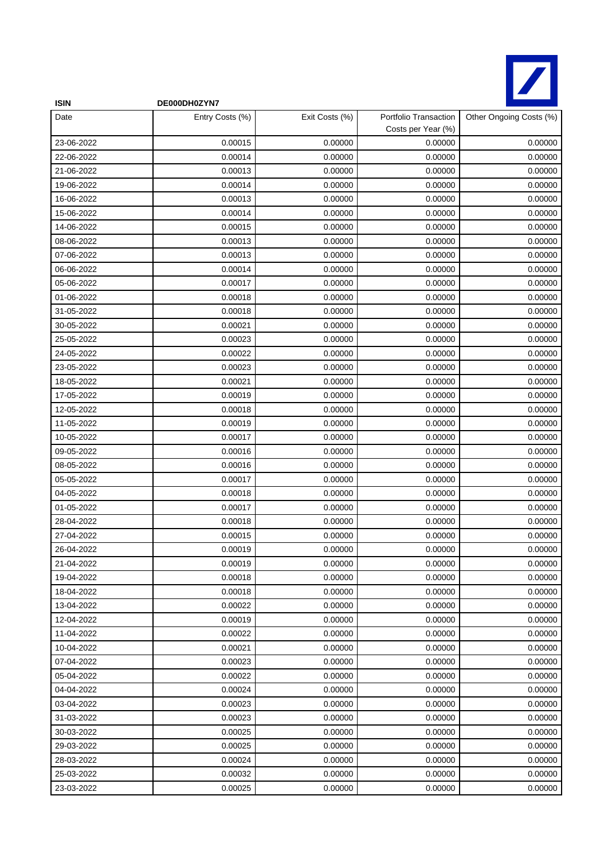

| <b>ISIN</b> | DE000DH0ZYN7    |                |                                             |                         |
|-------------|-----------------|----------------|---------------------------------------------|-------------------------|
| Date        | Entry Costs (%) | Exit Costs (%) | Portfolio Transaction<br>Costs per Year (%) | Other Ongoing Costs (%) |
| 23-06-2022  | 0.00015         | 0.00000        | 0.00000                                     | 0.00000                 |
| 22-06-2022  | 0.00014         | 0.00000        | 0.00000                                     | 0.00000                 |
| 21-06-2022  | 0.00013         | 0.00000        | 0.00000                                     | 0.00000                 |
| 19-06-2022  | 0.00014         | 0.00000        | 0.00000                                     | 0.00000                 |
| 16-06-2022  | 0.00013         | 0.00000        | 0.00000                                     | 0.00000                 |
| 15-06-2022  | 0.00014         | 0.00000        | 0.00000                                     | 0.00000                 |
| 14-06-2022  | 0.00015         | 0.00000        | 0.00000                                     | 0.00000                 |
| 08-06-2022  | 0.00013         | 0.00000        | 0.00000                                     | 0.00000                 |
| 07-06-2022  | 0.00013         | 0.00000        | 0.00000                                     | 0.00000                 |
| 06-06-2022  | 0.00014         | 0.00000        | 0.00000                                     | 0.00000                 |
| 05-06-2022  | 0.00017         | 0.00000        | 0.00000                                     | 0.00000                 |
| 01-06-2022  | 0.00018         | 0.00000        | 0.00000                                     | 0.00000                 |
| 31-05-2022  | 0.00018         | 0.00000        | 0.00000                                     | 0.00000                 |
| 30-05-2022  | 0.00021         | 0.00000        | 0.00000                                     | 0.00000                 |
| 25-05-2022  | 0.00023         | 0.00000        | 0.00000                                     | 0.00000                 |
| 24-05-2022  | 0.00022         | 0.00000        | 0.00000                                     | 0.00000                 |
| 23-05-2022  | 0.00023         | 0.00000        | 0.00000                                     | 0.00000                 |
| 18-05-2022  | 0.00021         | 0.00000        | 0.00000                                     | 0.00000                 |
| 17-05-2022  | 0.00019         | 0.00000        | 0.00000                                     | 0.00000                 |
| 12-05-2022  | 0.00018         | 0.00000        | 0.00000                                     | 0.00000                 |
| 11-05-2022  | 0.00019         | 0.00000        | 0.00000                                     | 0.00000                 |
| 10-05-2022  | 0.00017         | 0.00000        | 0.00000                                     | 0.00000                 |
| 09-05-2022  | 0.00016         | 0.00000        | 0.00000                                     | 0.00000                 |
| 08-05-2022  | 0.00016         | 0.00000        | 0.00000                                     | 0.00000                 |
| 05-05-2022  | 0.00017         | 0.00000        | 0.00000                                     | 0.00000                 |
| 04-05-2022  | 0.00018         | 0.00000        | 0.00000                                     | 0.00000                 |
| 01-05-2022  | 0.00017         | 0.00000        | 0.00000                                     | 0.00000                 |
| 28-04-2022  | 0.00018         | 0.00000        | 0.00000                                     | 0.00000                 |
| 27-04-2022  | 0.00015         | 0.00000        | 0.00000                                     | 0.00000                 |
| 26-04-2022  | 0.00019         | 0.00000        | 0.00000                                     | 0.00000                 |
| 21-04-2022  | 0.00019         | 0.00000        | 0.00000                                     | 0.00000                 |
| 19-04-2022  | 0.00018         | 0.00000        | 0.00000                                     | 0.00000                 |
| 18-04-2022  | 0.00018         | 0.00000        | 0.00000                                     | 0.00000                 |
| 13-04-2022  | 0.00022         | 0.00000        | 0.00000                                     | 0.00000                 |
| 12-04-2022  | 0.00019         | 0.00000        | 0.00000                                     | 0.00000                 |
| 11-04-2022  | 0.00022         | 0.00000        | 0.00000                                     | 0.00000                 |
| 10-04-2022  | 0.00021         | 0.00000        | 0.00000                                     | 0.00000                 |
| 07-04-2022  | 0.00023         | 0.00000        | 0.00000                                     | 0.00000                 |
| 05-04-2022  | 0.00022         | 0.00000        | 0.00000                                     | 0.00000                 |
| 04-04-2022  | 0.00024         | 0.00000        | 0.00000                                     | 0.00000                 |
| 03-04-2022  | 0.00023         | 0.00000        | 0.00000                                     | 0.00000                 |
| 31-03-2022  | 0.00023         | 0.00000        | 0.00000                                     | 0.00000                 |
| 30-03-2022  | 0.00025         | 0.00000        | 0.00000                                     | 0.00000                 |
| 29-03-2022  | 0.00025         | 0.00000        | 0.00000                                     | 0.00000                 |
| 28-03-2022  | 0.00024         | 0.00000        | 0.00000                                     | 0.00000                 |
| 25-03-2022  | 0.00032         | 0.00000        | 0.00000                                     | 0.00000                 |
| 23-03-2022  | 0.00025         | 0.00000        | 0.00000                                     | 0.00000                 |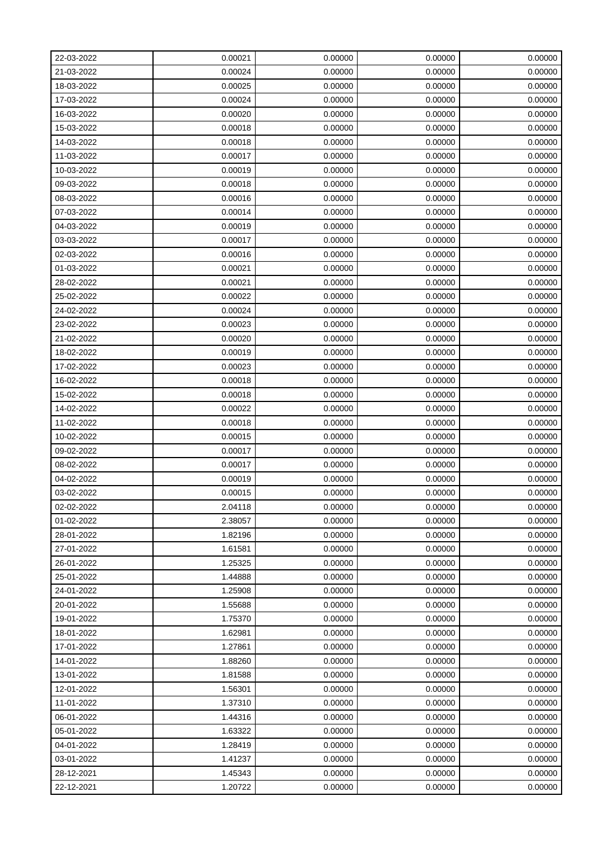| 22-03-2022 | 0.00021 | 0.00000 | 0.00000 | 0.00000 |
|------------|---------|---------|---------|---------|
| 21-03-2022 | 0.00024 | 0.00000 | 0.00000 | 0.00000 |
| 18-03-2022 | 0.00025 | 0.00000 | 0.00000 | 0.00000 |
| 17-03-2022 | 0.00024 | 0.00000 | 0.00000 | 0.00000 |
| 16-03-2022 | 0.00020 | 0.00000 | 0.00000 | 0.00000 |
| 15-03-2022 | 0.00018 | 0.00000 | 0.00000 | 0.00000 |
| 14-03-2022 | 0.00018 | 0.00000 | 0.00000 | 0.00000 |
| 11-03-2022 | 0.00017 | 0.00000 | 0.00000 | 0.00000 |
| 10-03-2022 | 0.00019 | 0.00000 | 0.00000 | 0.00000 |
| 09-03-2022 | 0.00018 | 0.00000 | 0.00000 | 0.00000 |
| 08-03-2022 | 0.00016 | 0.00000 | 0.00000 | 0.00000 |
| 07-03-2022 | 0.00014 | 0.00000 | 0.00000 | 0.00000 |
| 04-03-2022 | 0.00019 | 0.00000 | 0.00000 | 0.00000 |
| 03-03-2022 | 0.00017 | 0.00000 | 0.00000 | 0.00000 |
| 02-03-2022 | 0.00016 | 0.00000 | 0.00000 | 0.00000 |
| 01-03-2022 | 0.00021 | 0.00000 | 0.00000 | 0.00000 |
| 28-02-2022 | 0.00021 | 0.00000 | 0.00000 | 0.00000 |
| 25-02-2022 | 0.00022 | 0.00000 | 0.00000 | 0.00000 |
| 24-02-2022 | 0.00024 | 0.00000 | 0.00000 | 0.00000 |
| 23-02-2022 | 0.00023 | 0.00000 | 0.00000 | 0.00000 |
| 21-02-2022 | 0.00020 | 0.00000 | 0.00000 | 0.00000 |
| 18-02-2022 | 0.00019 | 0.00000 | 0.00000 | 0.00000 |
| 17-02-2022 | 0.00023 | 0.00000 | 0.00000 | 0.00000 |
| 16-02-2022 | 0.00018 | 0.00000 | 0.00000 | 0.00000 |
| 15-02-2022 | 0.00018 | 0.00000 | 0.00000 | 0.00000 |
| 14-02-2022 | 0.00022 | 0.00000 | 0.00000 | 0.00000 |
| 11-02-2022 | 0.00018 | 0.00000 | 0.00000 | 0.00000 |
| 10-02-2022 | 0.00015 | 0.00000 | 0.00000 | 0.00000 |
| 09-02-2022 | 0.00017 | 0.00000 | 0.00000 | 0.00000 |
| 08-02-2022 | 0.00017 | 0.00000 | 0.00000 | 0.00000 |
| 04-02-2022 | 0.00019 | 0.00000 | 0.00000 | 0.00000 |
| 03-02-2022 | 0.00015 | 0.00000 | 0.00000 | 0.00000 |
| 02-02-2022 | 2.04118 | 0.00000 | 0.00000 | 0.00000 |
| 01-02-2022 | 2.38057 | 0.00000 | 0.00000 | 0.00000 |
| 28-01-2022 | 1.82196 | 0.00000 | 0.00000 | 0.00000 |
| 27-01-2022 | 1.61581 | 0.00000 | 0.00000 | 0.00000 |
| 26-01-2022 | 1.25325 | 0.00000 | 0.00000 | 0.00000 |
| 25-01-2022 | 1.44888 | 0.00000 | 0.00000 | 0.00000 |
| 24-01-2022 | 1.25908 | 0.00000 | 0.00000 | 0.00000 |
| 20-01-2022 | 1.55688 | 0.00000 | 0.00000 | 0.00000 |
| 19-01-2022 | 1.75370 | 0.00000 | 0.00000 | 0.00000 |
| 18-01-2022 | 1.62981 | 0.00000 | 0.00000 | 0.00000 |
| 17-01-2022 | 1.27861 | 0.00000 | 0.00000 | 0.00000 |
| 14-01-2022 | 1.88260 | 0.00000 | 0.00000 | 0.00000 |
| 13-01-2022 | 1.81588 | 0.00000 | 0.00000 | 0.00000 |
| 12-01-2022 | 1.56301 | 0.00000 | 0.00000 | 0.00000 |
| 11-01-2022 | 1.37310 | 0.00000 | 0.00000 | 0.00000 |
| 06-01-2022 | 1.44316 | 0.00000 | 0.00000 | 0.00000 |
| 05-01-2022 | 1.63322 | 0.00000 | 0.00000 | 0.00000 |
| 04-01-2022 | 1.28419 | 0.00000 | 0.00000 | 0.00000 |
| 03-01-2022 | 1.41237 | 0.00000 | 0.00000 | 0.00000 |
| 28-12-2021 | 1.45343 | 0.00000 | 0.00000 | 0.00000 |
| 22-12-2021 | 1.20722 | 0.00000 | 0.00000 | 0.00000 |